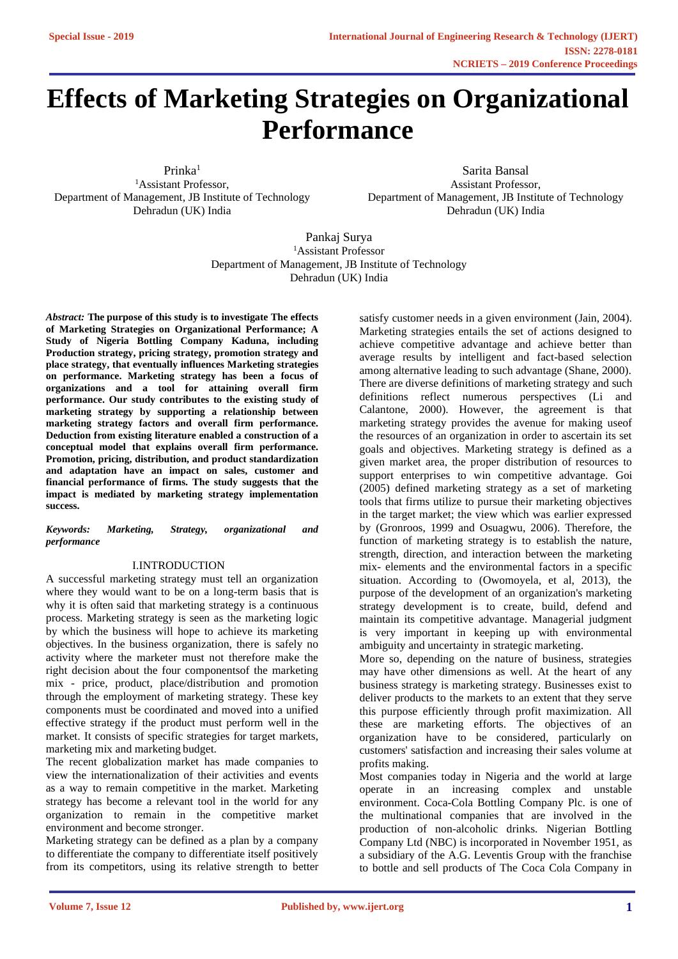# **Effects of Marketing Strategies on Organizational Performance**

Prinka<sup>1</sup> <sup>1</sup>Assistant Professor, Department of Management, JB Institute of Technology Dehradun (UK) India

Sarita Bansal Assistant Professor, Department of Management, JB Institute of Technology Dehradun (UK) India

Pankaj Surya <sup>1</sup>Assistant Professor Department of Management, JB Institute of Technology Dehradun (UK) India

*Abstract:* **The purpose of this study is to investigate The effects of Marketing Strategies on Organizational Performance; A Study of Nigeria Bottling Company Kaduna, including Production strategy, pricing strategy, promotion strategy and place strategy, that eventually influences Marketing strategies on performance. Marketing strategy has been a focus of organizations and a tool for attaining overall firm performance. Our study contributes to the existing study of marketing strategy by supporting a relationship between marketing strategy factors and overall firm performance. Deduction from existing literature enabled a construction of a conceptual model that explains overall firm performance. Promotion, pricing, distribution, and product standardization and adaptation have an impact on sales, customer and financial performance of firms. The study suggests that the impact is mediated by marketing strategy implementation success.**

#### *Keywords: Marketing, Strategy, organizational and performance*

## I.INTRODUCTION

A successful marketing strategy must tell an organization where they would want to be on a long-term basis that is why it is often said that marketing strategy is a continuous process. Marketing strategy is seen as the marketing logic by which the business will hope to achieve its marketing objectives. In the business organization, there is safely no activity where the marketer must not therefore make the right decision about the four componentsof the marketing mix - price, product, place/distribution and promotion through the employment of marketing strategy. These key components must be coordinated and moved into a unified effective strategy if the product must perform well in the market. It consists of specific strategies for target markets, marketing mix and marketing budget.

The recent globalization market has made companies to view the internationalization of their activities and events as a way to remain competitive in the market. Marketing strategy has become a relevant tool in the world for any organization to remain in the competitive market environment and become stronger.

Marketing strategy can be defined as a plan by a company to differentiate the company to differentiate itself positively from its competitors, using its relative strength to better satisfy customer needs in a given environment (Jain, 2004). Marketing strategies entails the set of actions designed to achieve competitive advantage and achieve better than average results by intelligent and fact-based selection among alternative leading to such advantage (Shane, 2000). There are diverse definitions of marketing strategy and such definitions reflect numerous perspectives (Li and Calantone, 2000). However, the agreement is that marketing strategy provides the avenue for making useof the resources of an organization in order to ascertain its set goals and objectives. Marketing strategy is defined as a given market area, the proper distribution of resources to support enterprises to win competitive advantage. Goi (2005) defined marketing strategy as a set of marketing tools that firms utilize to pursue their marketing objectives in the target market; the view which was earlier expressed by (Gronroos, 1999 and Osuagwu, 2006). Therefore, the function of marketing strategy is to establish the nature, strength, direction, and interaction between the marketing mix- elements and the environmental factors in a specific situation. According to (Owomoyela, et al, 2013), the purpose of the development of an organization's marketing strategy development is to create, build, defend and maintain its competitive advantage. Managerial judgment is very important in keeping up with environmental ambiguity and uncertainty in strategic marketing.

More so, depending on the nature of business, strategies may have other dimensions as well. At the heart of any business strategy is marketing strategy. Businesses exist to deliver products to the markets to an extent that they serve this purpose efficiently through profit maximization. All these are marketing efforts. The objectives of an organization have to be considered, particularly on customers' satisfaction and increasing their sales volume at profits making.

Most companies today in Nigeria and the world at large operate in an increasing complex and unstable environment. Coca-Cola Bottling Company Plc. is one of the multinational companies that are involved in the production of non-alcoholic drinks. Nigerian Bottling Company Ltd (NBC) is incorporated in November 1951, as a subsidiary of the A.G. Leventis Group with the franchise to bottle and sell products of The Coca Cola Company in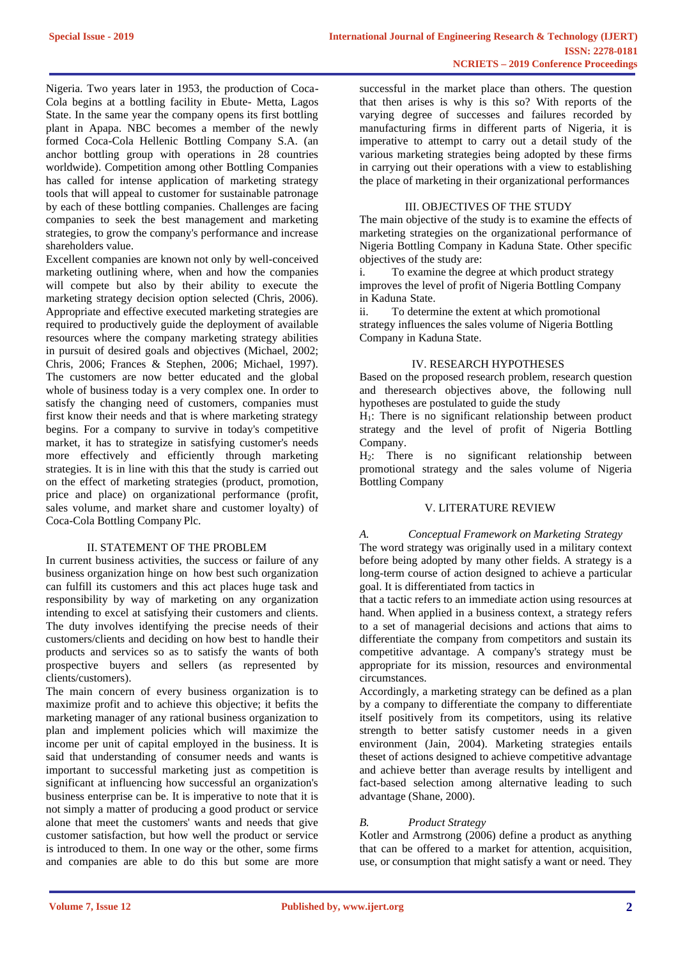Nigeria. Two years later in 1953, the production of Coca-Cola begins at a bottling facility in Ebute- Metta, Lagos State. In the same year the company opens its first bottling plant in Apapa. NBC becomes a member of the newly formed Coca-Cola Hellenic Bottling Company S.A. (an anchor bottling group with operations in 28 countries worldwide). Competition among other Bottling Companies has called for intense application of marketing strategy tools that will appeal to customer for sustainable patronage by each of these bottling companies. Challenges are facing companies to seek the best management and marketing strategies, to grow the company's performance and increase shareholders value.

Excellent companies are known not only by well-conceived marketing outlining where, when and how the companies will compete but also by their ability to execute the marketing strategy decision option selected (Chris, 2006). Appropriate and effective executed marketing strategies are required to productively guide the deployment of available resources where the company marketing strategy abilities in pursuit of desired goals and objectives (Michael, 2002; Chris, 2006; Frances & Stephen, 2006; Michael, 1997). The customers are now better educated and the global whole of business today is a very complex one. In order to satisfy the changing need of customers, companies must first know their needs and that is where marketing strategy begins. For a company to survive in today's competitive market, it has to strategize in satisfying customer's needs more effectively and efficiently through marketing strategies. It is in line with this that the study is carried out on the effect of marketing strategies (product, promotion, price and place) on organizational performance (profit, sales volume, and market share and customer loyalty) of Coca-Cola Bottling Company Plc.

## II. STATEMENT OF THE PROBLEM

In current business activities, the success or failure of any business organization hinge on how best such organization can fulfill its customers and this act places huge task and responsibility by way of marketing on any organization intending to excel at satisfying their customers and clients. The duty involves identifying the precise needs of their customers/clients and deciding on how best to handle their products and services so as to satisfy the wants of both prospective buyers and sellers (as represented by clients/customers).

The main concern of every business organization is to maximize profit and to achieve this objective; it befits the marketing manager of any rational business organization to plan and implement policies which will maximize the income per unit of capital employed in the business. It is said that understanding of consumer needs and wants is important to successful marketing just as competition is significant at influencing how successful an organization's business enterprise can be. It is imperative to note that it is not simply a matter of producing a good product or service alone that meet the customers' wants and needs that give customer satisfaction, but how well the product or service is introduced to them. In one way or the other, some firms and companies are able to do this but some are more successful in the market place than others. The question that then arises is why is this so? With reports of the varying degree of successes and failures recorded by manufacturing firms in different parts of Nigeria, it is imperative to attempt to carry out a detail study of the various marketing strategies being adopted by these firms in carrying out their operations with a view to establishing the place of marketing in their organizational performances

## III. OBJECTIVES OF THE STUDY

The main objective of the study is to examine the effects of marketing strategies on the organizational performance of Nigeria Bottling Company in Kaduna State. Other specific objectives of the study are:

i. To examine the degree at which product strategy improves the level of profit of Nigeria Bottling Company in Kaduna State.

ii. To determine the extent at which promotional strategy influences the sales volume of Nigeria Bottling Company in Kaduna State.

## IV. RESEARCH HYPOTHESES

Based on the proposed research problem, research question and theresearch objectives above, the following null hypotheses are postulated to guide the study

H1: There is no significant relationship between product strategy and the level of profit of Nigeria Bottling Company.

H2: There is no significant relationship between promotional strategy and the sales volume of Nigeria Bottling Company

## V. LITERATURE REVIEW

## *A. Conceptual Framework on Marketing Strategy*

The word strategy was originally used in a military context before being adopted by many other fields. A strategy is a long-term course of action designed to achieve a particular goal. It is differentiated from tactics in

that a tactic refers to an immediate action using resources at hand. When applied in a business context, a strategy refers to a set of managerial decisions and actions that aims to differentiate the company from competitors and sustain its competitive advantage. A company's strategy must be appropriate for its mission, resources and environmental circumstances.

Accordingly, a marketing strategy can be defined as a plan by a company to differentiate the company to differentiate itself positively from its competitors, using its relative strength to better satisfy customer needs in a given environment (Jain, 2004). Marketing strategies entails theset of actions designed to achieve competitive advantage and achieve better than average results by intelligent and fact-based selection among alternative leading to such advantage (Shane, 2000).

## *B. Product Strategy*

Kotler and Armstrong (2006) define a product as anything that can be offered to a market for attention, acquisition, use, or consumption that might satisfy a want or need. They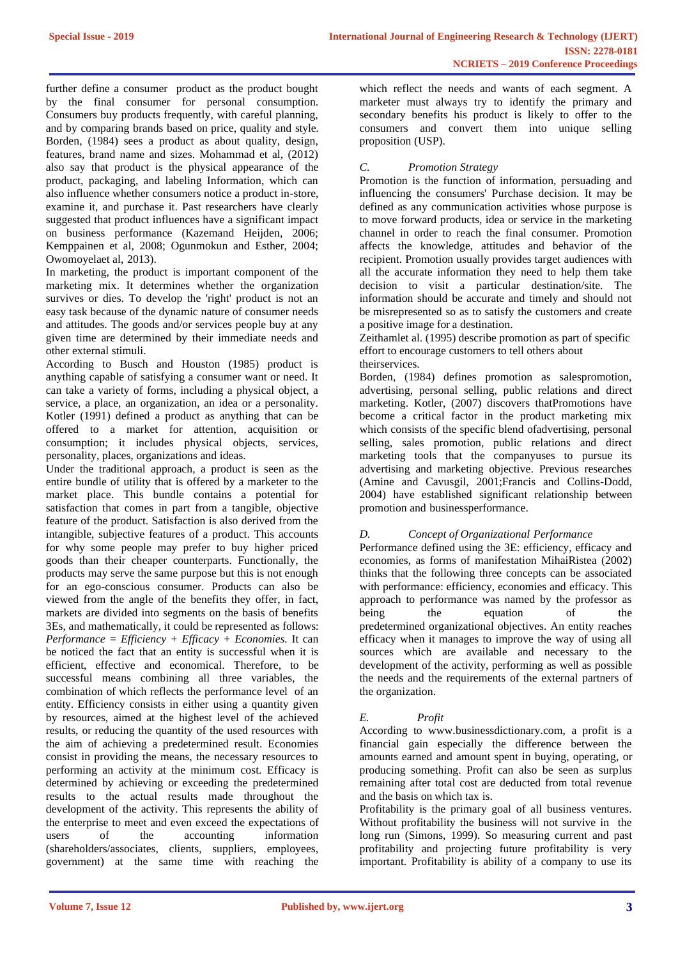further define a consumer product as the product bought by the final consumer for personal consumption. Consumers buy products frequently, with careful planning, and by comparing brands based on price, quality and style. Borden, (1984) sees a product as about quality, design, features, brand name and sizes. Mohammad et al, (2012) also say that product is the physical appearance of the product, packaging, and labeling Information, which can also influence whether consumers notice a product in-store, examine it, and purchase it. Past researchers have clearly suggested that product influences have a significant impact on business performance (Kazemand Heijden, 2006; Kemppainen et al, 2008; Ogunmokun and Esther, 2004; Owomoyelaet al, 2013).

In marketing, the product is important component of the marketing mix. It determines whether the organization survives or dies. To develop the 'right' product is not an easy task because of the dynamic nature of consumer needs and attitudes. The goods and/or services people buy at any given time are determined by their immediate needs and other external stimuli.

According to Busch and Houston (1985) product is anything capable of satisfying a consumer want or need. It can take a variety of forms, including a physical object, a service, a place, an organization, an idea or a personality. Kotler (1991) defined a product as anything that can be offered to a market for attention, acquisition or consumption; it includes physical objects, services, personality, places, organizations and ideas.

Under the traditional approach, a product is seen as the entire bundle of utility that is offered by a marketer to the market place. This bundle contains a potential for satisfaction that comes in part from a tangible, objective feature of the product. Satisfaction is also derived from the intangible, subjective features of a product. This accounts for why some people may prefer to buy higher priced goods than their cheaper counterparts. Functionally, the products may serve the same purpose but this is not enough for an ego-conscious consumer. Products can also be viewed from the angle of the benefits they offer, in fact, markets are divided into segments on the basis of benefits 3Es, and mathematically, it could be represented as follows: *Performance = Efficiency + Efficacy + Economies.* It can be noticed the fact that an entity is successful when it is efficient, effective and economical. Therefore, to be successful means combining all three variables, the combination of which reflects the performance level of an entity. Efficiency consists in either using a quantity given by resources, aimed at the highest level of the achieved results, or reducing the quantity of the used resources with the aim of achieving a predetermined result. Economies consist in providing the means, the necessary resources to performing an activity at the minimum cost. Efficacy is determined by achieving or exceeding the predetermined results to the actual results made throughout the development of the activity. This represents the ability of the enterprise to meet and even exceed the expectations of users of the accounting information (shareholders/associates, clients, suppliers, employees, government) at the same time with reaching the

which reflect the needs and wants of each segment. A marketer must always try to identify the primary and secondary benefits his product is likely to offer to the consumers and convert them into unique selling proposition (USP).

## *C. Promotion Strategy*

Promotion is the function of information, persuading and influencing the consumers' Purchase decision. It may be defined as any communication activities whose purpose is to move forward products, idea or service in the marketing channel in order to reach the final consumer. Promotion affects the knowledge, attitudes and behavior of the recipient. Promotion usually provides target audiences with all the accurate information they need to help them take decision to visit a particular destination/site. The information should be accurate and timely and should not be misrepresented so as to satisfy the customers and create a positive image for a destination.

Zeithamlet al. (1995) describe promotion as part of specific effort to encourage customers to tell others about

theirservices.

Borden, (1984) defines promotion as salespromotion, advertising, personal selling, public relations and direct marketing. Kotler, (2007) discovers thatPromotions have become a critical factor in the product marketing mix which consists of the specific blend ofadvertising, personal selling, sales promotion, public relations and direct marketing tools that the companyuses to pursue its advertising and marketing objective. Previous researches (Amine and Cavusgil, 2001;Francis and Collins-Dodd, 2004) have established significant relationship between promotion and businessperformance.

## *D. Concept of Organizational Performance*

Performance defined using the 3E: efficiency, efficacy and economies, as forms of manifestation MihaiRistea (2002) thinks that the following three concepts can be associated with performance: efficiency, economies and efficacy. This approach to performance was named by the professor as being the equation of the predetermined organizational objectives. An entity reaches efficacy when it manages to improve the way of using all sources which are available and necessary to the development of the activity, performing as well as possible the needs and the requirements of the external partners of the organization.

## *E. Profit*

According to [www.businessdictionary.com,](http://www.businessdictionary.com/) a profit is a financial gain especially the difference between the amounts earned and amount spent in buying, operating, or producing something. Profit can also be seen as surplus remaining after total cost are deducted from total revenue and the basis on which tax is.

Profitability is the primary goal of all business ventures. Without profitability the business will not survive in the long run (Simons, 1999). So measuring current and past profitability and projecting future profitability is very important. Profitability is ability of a company to use its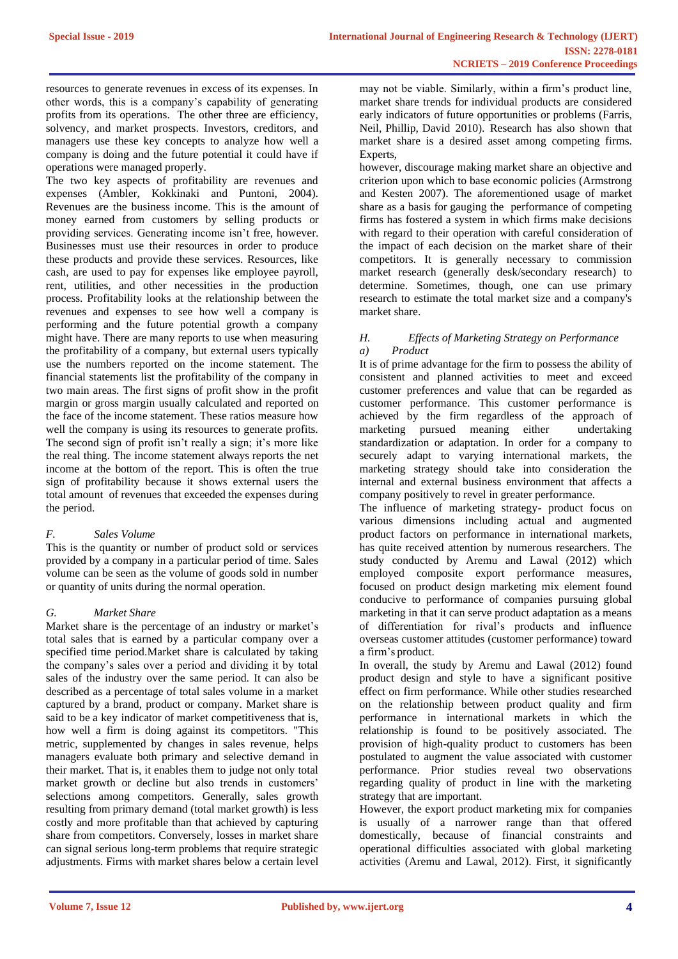resources to generate revenues in excess of its expenses. In other words, this is a company's capability of generating profits from its operations. The other three are efficiency, solvency, and market prospects. Investors, creditors, and managers use these key concepts to analyze how well a company is doing and the future potential it could have if operations were managed properly.

The two key aspects of profitability are revenues and expenses (Ambler, Kokkinaki and Puntoni, 2004). Revenues are the business income. This is the amount of money earned from customers by selling products or providing services. Generating income isn't free, however. Businesses must use their resources in order to produce these products and provide these services. Resources, like cash, are used to pay for expenses like employee payroll, rent, utilities, and other necessities in the production process. Profitability looks at the relationship between the revenues and expenses to see how well a company is performing and the future potential growth a company might have. There are many reports to use when measuring the profitability of a company, but external users typically use the numbers reported on the income statement. The financial statements list the profitability of the company in two main areas. The first signs of profit show in the profit margin or gross margin usually calculated and reported on the face of the income statement. These ratios measure how well the company is using its resources to generate profits. The second sign of profit isn't really a sign; it's more like the real thing. The income statement always reports the net income at the bottom of the report. This is often the true sign of profitability because it shows external users the total amount of revenues that exceeded the expenses during the period.

## *F. Sales Volume*

This is the quantity or number of product sold or services provided by a company in a particular period of time. Sales volume can be seen as the volume of goods sold in number or quantity of units during the normal operation.

# *G. Market Share*

Market share is the percentage of an industry or market's total sales that is earned by a particular company over a specified time period.Market share is calculated by taking the company's sales over a period and dividing it by total sales of the industry over the same period. It can also be described as a percentage of total sales volume in a market captured by a brand, product or company. Market share is said to be a key indicator of market competitiveness that is, how well a firm is doing against its competitors. "This metric, supplemented by changes in sales revenue, helps managers evaluate both primary and selective demand in their market. That is, it enables them to judge not only total market growth or decline but also trends in customers' selections among competitors. Generally, sales growth resulting from primary demand (total market growth) is less costly and more profitable than that achieved by capturing share from competitors. Conversely, losses in market share can signal serious long-term problems that require strategic adjustments. Firms with market shares below a certain level may not be viable. Similarly, within a firm's product line, market share trends for individual products are considered early indicators of future opportunities or problems (Farris, Neil, Phillip, David 2010). Research has also shown that market share is a desired asset among competing firms. Experts,

however, discourage making market share an objective and criterion upon which to base economic policies (Armstrong and Kesten 2007). The aforementioned usage of market share as a basis for gauging the performance of competing firms has fostered a system in which firms make decisions with regard to their operation with careful consideration of the impact of each decision on the market share of their competitors. It is generally necessary to commission [market research \(](https://en.wikipedia.org/wiki/Market_research)generally [desk/secondary research\)](https://en.wikipedia.org/wiki/Secondary_research) to determine. Sometimes, though, one can use [primary](https://en.wikipedia.org/wiki/Primary_research)  [research t](https://en.wikipedia.org/wiki/Primary_research)o estimate the total market size and a company's market share.

## *H. Effects of Marketing Strategy on Performance a) Product*

It is of prime advantage for the firm to possess the ability of consistent and planned activities to meet and exceed customer preferences and value that can be regarded as customer performance. This customer performance is achieved by the firm regardless of the approach of marketing pursued meaning either undertaking standardization or adaptation. In order for a company to securely adapt to varying international markets, the marketing strategy should take into consideration the internal and external business environment that affects a company positively to revel in greater performance.

The influence of marketing strategy- product focus on various dimensions including actual and augmented product factors on performance in international markets, has quite received attention by numerous researchers. The study conducted by Aremu and Lawal (2012) which employed composite export performance measures, focused on product design marketing mix element found conducive to performance of companies pursuing global marketing in that it can serve product adaptation as a means of differentiation for rival's products and influence overseas customer attitudes (customer performance) toward a firm's product.

In overall, the study by Aremu and Lawal (2012) found product design and style to have a significant positive effect on firm performance. While other studies researched on the relationship between product quality and firm performance in international markets in which the relationship is found to be positively associated. The provision of high-quality product to customers has been postulated to augment the value associated with customer performance. Prior studies reveal two observations regarding quality of product in line with the marketing strategy that are important.

However, the export product marketing mix for companies is usually of a narrower range than that offered domestically, because of financial constraints and operational difficulties associated with global marketing activities (Aremu and Lawal, 2012). First, it significantly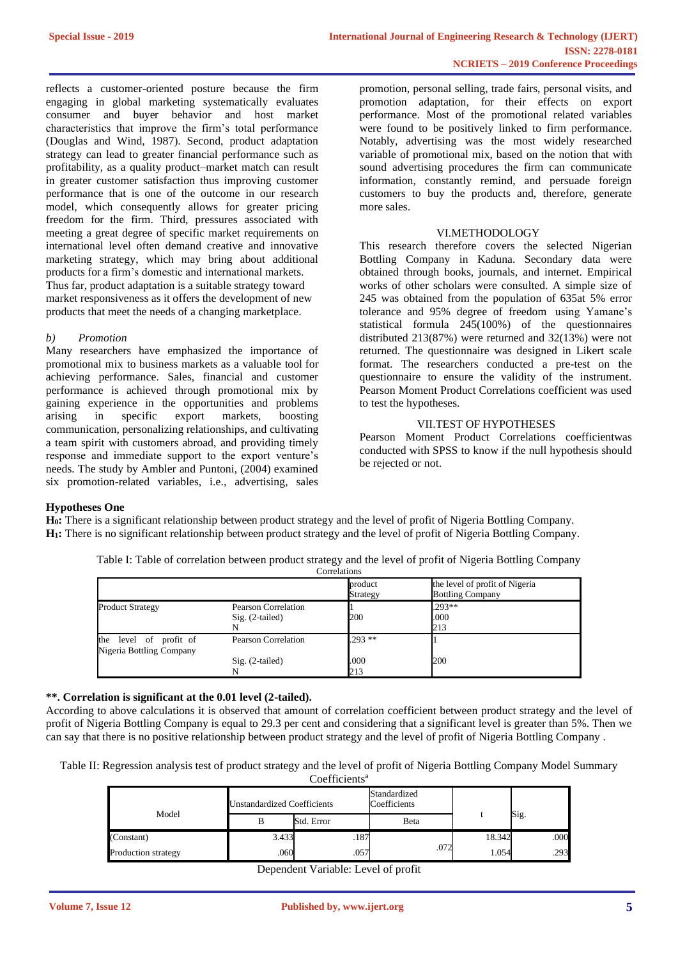reflects a customer-oriented posture because the firm engaging in global marketing systematically evaluates consumer and buyer behavior and host market characteristics that improve the firm's total performance (Douglas and Wind, 1987). Second, product adaptation strategy can lead to greater financial performance such as profitability, as a quality product–market match can result in greater customer satisfaction thus improving customer performance that is one of the outcome in our research model, which consequently allows for greater pricing freedom for the firm. Third, pressures associated with meeting a great degree of specific market requirements on international level often demand creative and innovative marketing strategy, which may bring about additional products for a firm's domestic and international markets. Thus far, product adaptation is a suitable strategy toward market responsiveness as it offers the development of new products that meet the needs of a changing marketplace.

## *b) Promotion*

Many researchers have emphasized the importance of promotional mix to business markets as a valuable tool for achieving performance. Sales, financial and customer performance is achieved through promotional mix by gaining experience in the opportunities and problems<br>arising in specific export markets, boosting arising in specific export markets, boosting communication, personalizing relationships, and cultivating a team spirit with customers abroad, and providing timely response and immediate support to the export venture's needs. The study by Ambler and Puntoni, (2004) examined six promotion-related variables, i.e., advertising, sales promotion, personal selling, trade fairs, personal visits, and promotion adaptation, for their effects on export performance. Most of the promotional related variables were found to be positively linked to firm performance. Notably, advertising was the most widely researched variable of promotional mix, based on the notion that with sound advertising procedures the firm can communicate information, constantly remind, and persuade foreign customers to buy the products and, therefore, generate more sales.

## VI.METHODOLOGY

This research therefore covers the selected Nigerian Bottling Company in Kaduna. Secondary data were obtained through books, journals, and internet. Empirical works of other scholars were consulted. A simple size of 245 was obtained from the population of 635at 5% error tolerance and 95% degree of freedom using Yamane's statistical formula 245(100%) of the questionnaires distributed 213(87%) were returned and 32(13%) were not returned. The questionnaire was designed in Likert scale format. The researchers conducted a pre-test on the questionnaire to ensure the validity of the instrument. Pearson Moment Product Correlations coefficient was used to test the hypotheses.

# VII.TEST OF HYPOTHESES

Pearson Moment Product Correlations coefficientwas conducted with SPSS to know if the null hypothesis should be rejected or not.

## **Hypotheses One**

**H0:** There is a significant relationship between product strategy and the level of profit of Nigeria Bottling Company. **H1:** There is no significant relationship between product strategy and the level of profit of Nigeria Bottling Company.

| Table I: Table of correlation between product strategy and the level of profit of Nigeria Bottling Company |              |  |  |
|------------------------------------------------------------------------------------------------------------|--------------|--|--|
|                                                                                                            | Correlations |  |  |

|                                                    |                                          | product<br>Strategy | the level of profit of Nigeria<br><b>Bottling Company</b> |  |
|----------------------------------------------------|------------------------------------------|---------------------|-----------------------------------------------------------|--|
| <b>Product Strategy</b>                            | Pearson Correlation<br>$Sig. (2-tailed)$ | 200                 | $.293**$<br>.000<br>213                                   |  |
| the level of profit of<br>Nigeria Bottling Company | <b>Pearson Correlation</b>               | $.293**$            |                                                           |  |
|                                                    | $Sig. (2-tailed)$                        | .000<br>213         | 200                                                       |  |

## **\*\*. Correlation is significant at the 0.01 level (2-tailed).**

According to above calculations it is observed that amount of correlation coefficient between product strategy and the level of profit of Nigeria Bottling Company is equal to 29.3 per cent and considering that a significant level is greater than 5%. Then we can say that there is no positive relationship between product strategy and the level of profit of Nigeria Bottling Company .

Table II: Regression analysis test of product strategy and the level of profit of Nigeria Bottling Company Model Summary Coefficients<sup>a</sup>

| COULIULUITO         |                                    |            |                              |        |      |  |
|---------------------|------------------------------------|------------|------------------------------|--------|------|--|
| Model               | <b>Unstandardized Coefficients</b> |            | Standardized<br>Coefficients |        |      |  |
|                     | B                                  | Std. Error | <b>B</b> eta                 |        | Sig. |  |
| (Constant)          | 3.433                              | .187       |                              | 18.342 | .000 |  |
| Production strategy | .060                               | .057       | .072                         | 1.054  | .293 |  |

Dependent Variable: Level of profit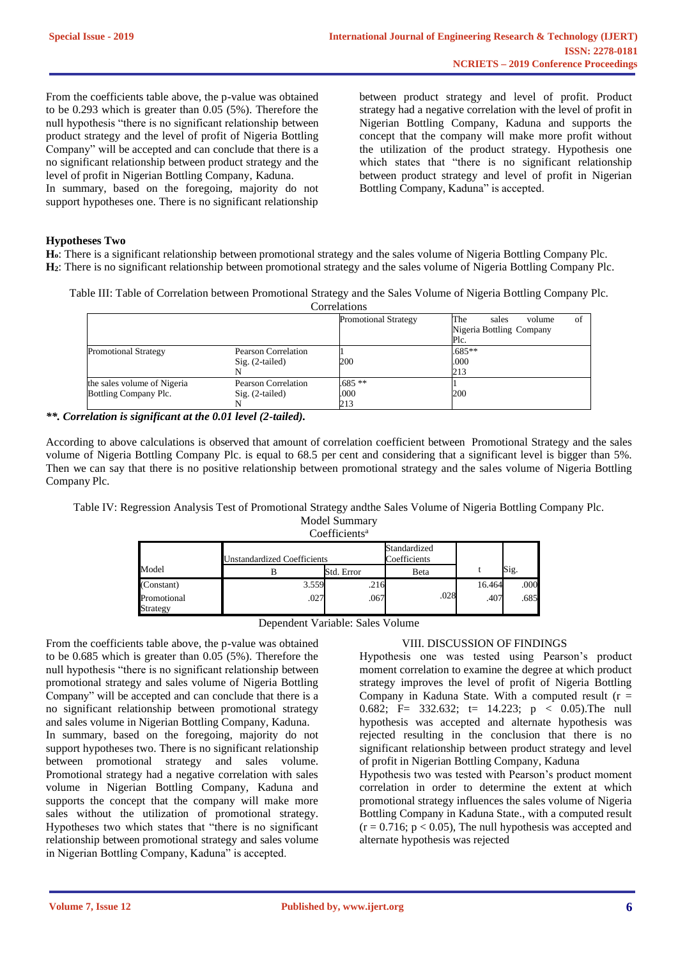From the coefficients table above, the p-value was obtained to be 0.293 which is greater than 0.05 (5%). Therefore the null hypothesis "there is no significant relationship between product strategy and the level of profit of Nigeria Bottling Company" will be accepted and can conclude that there is a no significant relationship between product strategy and the level of profit in Nigerian Bottling Company, Kaduna.

In summary, based on the foregoing, majority do not support hypotheses one. There is no significant relationship between product strategy and level of profit. Product strategy had a negative correlation with the level of profit in Nigerian Bottling Company, Kaduna and supports the concept that the company will make more profit without the utilization of the product strategy. Hypothesis one which states that "there is no significant relationship between product strategy and level of profit in Nigerian Bottling Company, Kaduna" is accepted.

## **Hypotheses Two**

**Ho**: There is a significant relationship between promotional strategy and the sales volume of Nigeria Bottling Company Plc. **H2**: There is no significant relationship between promotional strategy and the sales volume of Nigeria Bottling Company Plc.

Table III: Table of Correlation between Promotional Strategy and the Sales Volume of Nigeria Bottling Company Plc. Correlations

|                             |                            | <u>Contentions</u>          |                              |
|-----------------------------|----------------------------|-----------------------------|------------------------------|
|                             |                            | <b>Promotional Strategy</b> | The<br>of<br>sales<br>volume |
|                             |                            |                             | Nigeria Bottling Company     |
|                             |                            |                             | Plc.                         |
| <b>Promotional Strategy</b> | Pearson Correlation        |                             | $.685***$                    |
|                             | $Sig. (2-tailed)$          | 200                         | .000                         |
|                             |                            |                             | 213                          |
| the sales volume of Nigeria | <b>Pearson Correlation</b> | $.685**$                    |                              |
| Bottling Company Plc.       | $Sig. (2-tailed)$          | .000                        | 200                          |
|                             |                            | 213                         |                              |

*\*\*. Correlation is significant at the 0.01 level (2-tailed).*

According to above calculations is observed that amount of correlation coefficient between Promotional Strategy and the sales volume of Nigeria Bottling Company Plc. is equal to 68.5 per cent and considering that a significant level is bigger than 5%. Then we can say that there is no positive relationship between promotional strategy and the sales volume of Nigeria Bottling Company Plc.

Table IV: Regression Analysis Test of Promotional Strategy andthe Sales Volume of Nigeria Bottling Company Plc. Model Summary

| Coefficients <sup>a</sup> |  |
|---------------------------|--|
|                           |  |

|                         | Jnstandardized Coefficients |            | Standardized<br>Coefficients |        |      |
|-------------------------|-----------------------------|------------|------------------------------|--------|------|
| Model                   |                             | Std. Error | Beta                         |        | Sig. |
| (Constant)              | 3.559                       | .216       |                              | 16.464 | .000 |
| Promotional<br>Strategy | .027                        | .067       | .028                         | .407   | .685 |

From the coefficients table above, the p-value was obtained to be 0.685 which is greater than 0.05 (5%). Therefore the null hypothesis "there is no significant relationship between promotional strategy and sales volume of Nigeria Bottling Company" will be accepted and can conclude that there is a no significant relationship between promotional strategy and sales volume in Nigerian Bottling Company, Kaduna.

In summary, based on the foregoing, majority do not support hypotheses two. There is no significant relationship between promotional strategy and sales volume. Promotional strategy had a negative correlation with sales volume in Nigerian Bottling Company, Kaduna and supports the concept that the company will make more sales without the utilization of promotional strategy. Hypotheses two which states that "there is no significant relationship between promotional strategy and sales volume in Nigerian Bottling Company, Kaduna" is accepted.

## VIII. DISCUSSION OF FINDINGS

Hypothesis one was tested using Pearson's product moment correlation to examine the degree at which product strategy improves the level of profit of Nigeria Bottling Company in Kaduna State. With a computed result  $(r =$ 0.682; F= 332.632; t= 14.223;  $p \lt 0.05$ ). The null hypothesis was accepted and alternate hypothesis was rejected resulting in the conclusion that there is no significant relationship between product strategy and level of profit in Nigerian Bottling Company, Kaduna

Hypothesis two was tested with Pearson's product moment correlation in order to determine the extent at which promotional strategy influences the sales volume of Nigeria Bottling Company in Kaduna State., with a computed result  $(r = 0.716; p < 0.05)$ , The null hypothesis was accepted and alternate hypothesis was rejected